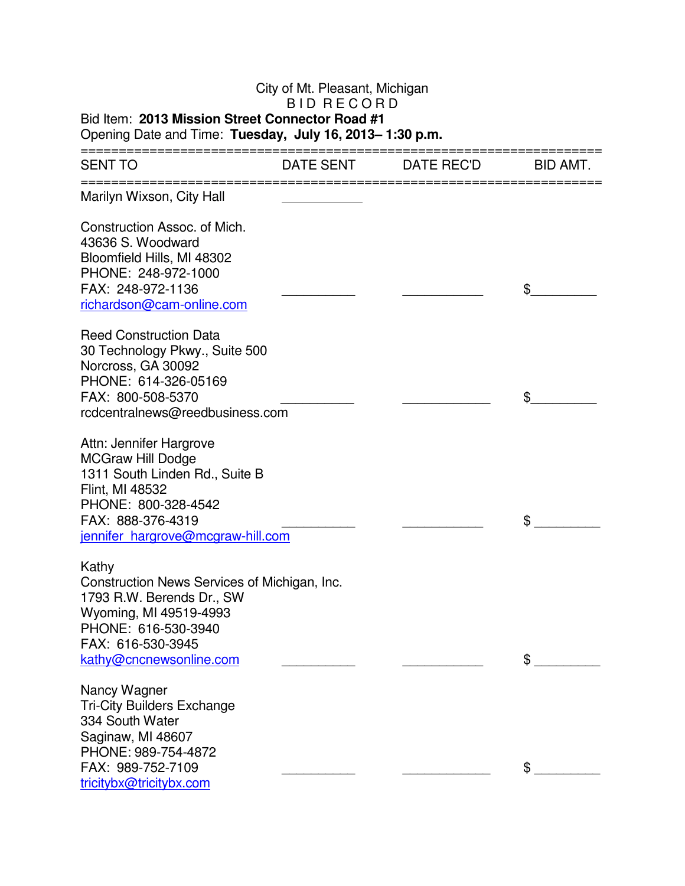## City of Mt. Pleasant, Michigan B I D RECORD

## Bid Item: **2013 Mission Street Connector Road #1**  Opening Date and Time: **Tuesday, July 16, 2013– 1:30 p.m.**

| DATE SENT | DATE REC'D                                                                                                           | BID AMT. |
|-----------|----------------------------------------------------------------------------------------------------------------------|----------|
|           |                                                                                                                      |          |
|           |                                                                                                                      | \$       |
|           |                                                                                                                      | \$       |
|           |                                                                                                                      | \$       |
|           |                                                                                                                      | \$       |
|           |                                                                                                                      | \$       |
|           | rcdcentralnews@reedbusiness.com<br>jennifer hargrove@mcgraw-hill.com<br>Construction News Services of Michigan, Inc. |          |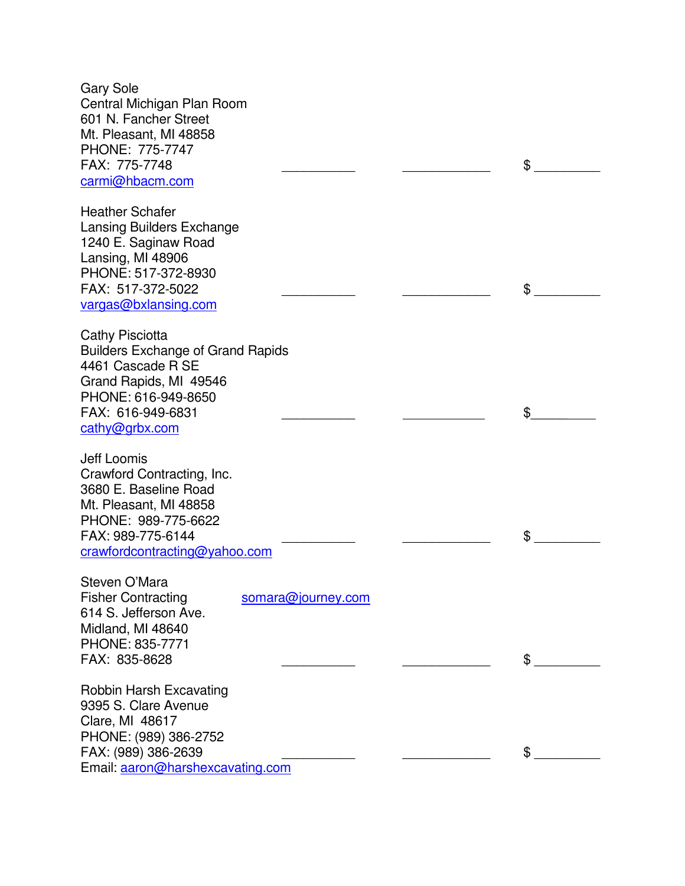Gary Sole Central Michigan Plan Room 601 N. Fancher Street Mt. Pleasant, MI 48858 PHONE: 775-7747 FAX: 775-7748 \_\_\_\_\_\_\_\_\_\_ \_\_\_\_\_\_\_\_\_\_\_\_ \$ \_\_\_\_\_\_\_\_\_ carmi@hbacm.com Heather Schafer Lansing Builders Exchange 1240 E. Saginaw Road Lansing, MI 48906 PHONE: 517-372-8930 FAX: 517-372-5022 \_\_\_\_\_\_\_\_\_\_ \_\_\_\_\_\_\_\_\_\_\_\_ \$ \_\_\_\_\_\_\_\_\_ vargas@bxlansing.com Cathy Pisciotta Builders Exchange of Grand Rapids 4461 Cascade R SE Grand Rapids, MI 49546 PHONE: 616-949-8650 FAX: 616-949-6831 \$ cathy@grbx.com Jeff Loomis Crawford Contracting, Inc. 3680 E. Baseline Road Mt. Pleasant, MI 48858 PHONE: 989-775-6622 FAX: 989-775-6144  $\sim$ crawfordcontracting@yahoo.com Steven O'Mara Fisher Contracting somara@journey.com 614 S. Jefferson Ave. Midland, MI 48640 PHONE: 835-7771 FAX: 835-8628 \_\_\_\_\_\_\_\_\_\_ \_\_\_\_\_\_\_\_\_\_\_\_ \$ \_\_\_\_\_\_\_\_\_ Robbin Harsh Excavating 9395 S. Clare Avenue Clare, MI 48617 PHONE: (989) 386-2752 FAX: (989) 386-2639  $\sim$ Email: aaron@harshexcavating.com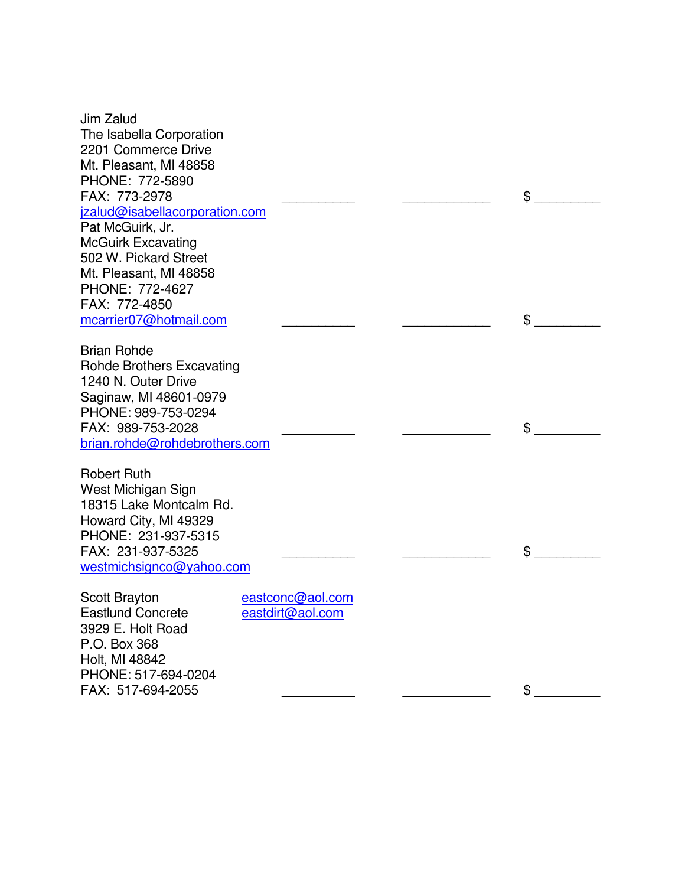| Jim Zalud                                     |                  |  |    |
|-----------------------------------------------|------------------|--|----|
| The Isabella Corporation                      |                  |  |    |
| 2201 Commerce Drive                           |                  |  |    |
| Mt. Pleasant, MI 48858                        |                  |  |    |
| PHONE: 772-5890                               |                  |  |    |
| FAX: 773-2978                                 |                  |  | \$ |
| jzalud@isabellacorporation.com                |                  |  |    |
| Pat McGuirk, Jr.                              |                  |  |    |
| <b>McGuirk Excavating</b>                     |                  |  |    |
| 502 W. Pickard Street                         |                  |  |    |
| Mt. Pleasant, MI 48858                        |                  |  |    |
| PHONE: 772-4627                               |                  |  |    |
| FAX: 772-4850                                 |                  |  |    |
| mcarrier07@hotmail.com                        |                  |  | \$ |
|                                               |                  |  |    |
| <b>Brian Rohde</b>                            |                  |  |    |
| <b>Rohde Brothers Excavating</b>              |                  |  |    |
| 1240 N. Outer Drive<br>Saginaw, MI 48601-0979 |                  |  |    |
| PHONE: 989-753-0294                           |                  |  |    |
| FAX: 989-753-2028                             |                  |  | \$ |
| brian.rohde@rohdebrothers.com                 |                  |  |    |
|                                               |                  |  |    |
| <b>Robert Ruth</b>                            |                  |  |    |
| West Michigan Sign                            |                  |  |    |
| 18315 Lake Montcalm Rd.                       |                  |  |    |
| Howard City, MI 49329                         |                  |  |    |
| PHONE: 231-937-5315                           |                  |  |    |
| FAX: 231-937-5325                             |                  |  | \$ |
| westmichsignco@yahoo.com                      |                  |  |    |
|                                               | eastconc@aol.com |  |    |
| Scott Brayton<br><b>Eastlund Concrete</b>     | eastdirt@aol.com |  |    |
| 3929 E. Holt Road                             |                  |  |    |
| P.O. Box 368                                  |                  |  |    |
| Holt, MI 48842                                |                  |  |    |
| PHONE: 517-694-0204                           |                  |  |    |
| FAX: 517-694-2055                             |                  |  | \$ |
|                                               |                  |  |    |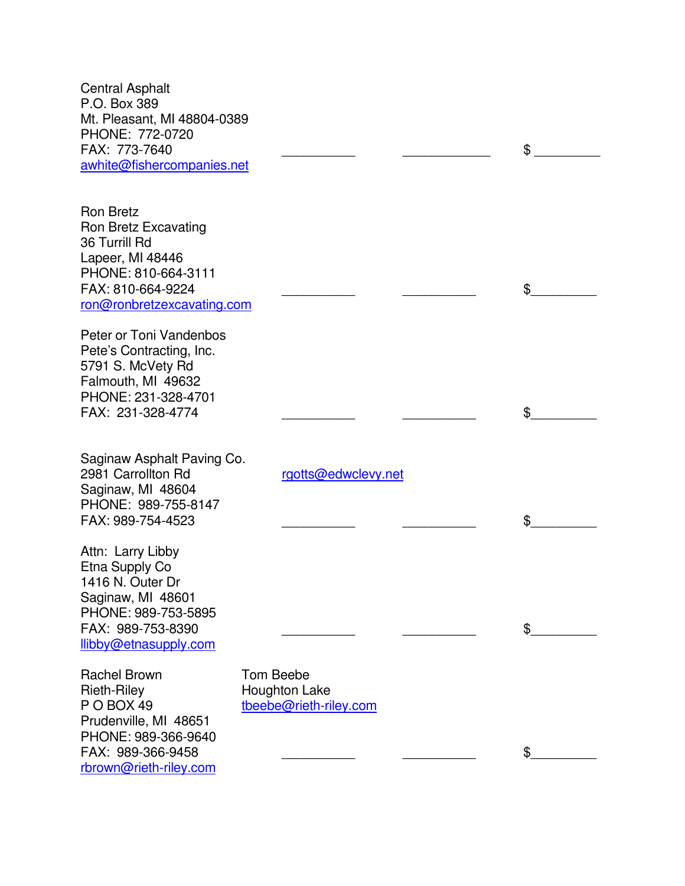Central Asphalt P.O. Box 389 Mt. Pleasant, MI 48804-0389 PHONE: 772-0720 FAX: 773-7640  $\textsf{S}$ awhite@fishercompanies.net Ron Bretz Ron Bretz Excavating 36 Turrill Rd Lapeer, MI 48446 PHONE: 810-664-3111 FAX: 810-664-9224  $\sim$ ron@ronbretzexcavating.com Peter or Toni Vandenbos Pete's Contracting, Inc. 5791 S. McVety Rd Falmouth, MI 49632 PHONE: 231-328-4701 FAX: 231-328-4774 \$ Saginaw Asphalt Paving Co. 2981 Carrollton Rd rgotts@edwclevy.net Saginaw, MI 48604 PHONE: 989-755-8147 FAX: 989-754-4523  $\sim$ Attn: Larry Libby Etna Supply Co 1416 N. Outer Dr Saginaw, MI 48601 PHONE: 989-753-5895 FAX: 989-753-8390  $\sim$ llibby@etnasupply.com Rachel Brown Tom Beebe Rieth-Riley Houghton Lake P O BOX 49 tbeebe@rieth-riley.com Prudenville, MI 48651 PHONE: 989-366-9640 FAX: 989-366-9458 \_\_\_\_\_\_\_\_\_\_ \_\_\_\_\_\_\_\_\_\_ \$\_\_\_\_\_\_\_\_\_ rbrown@rieth-riley.com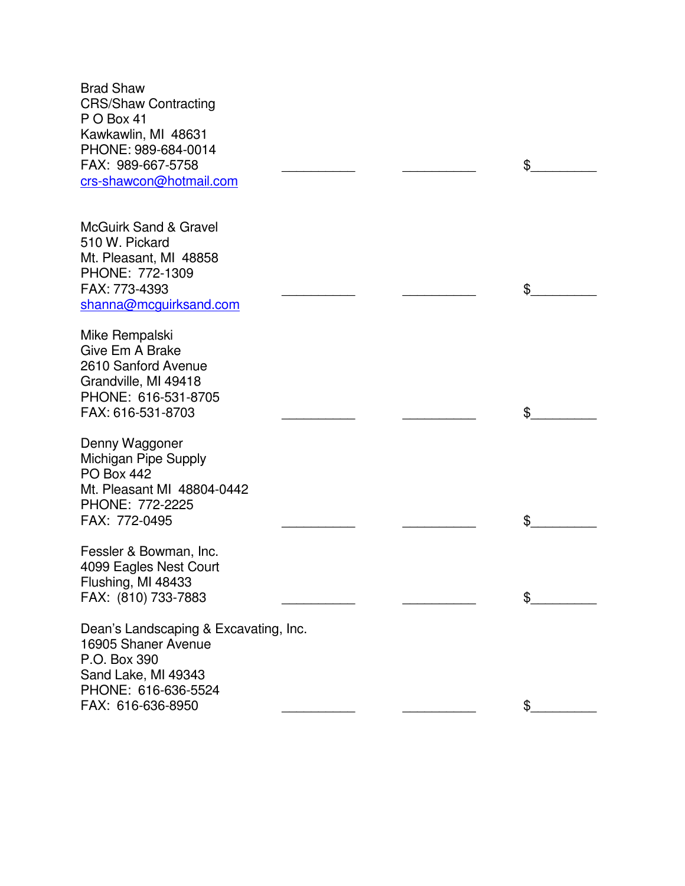Brad Shaw CRS/Shaw Contracting P O Box 41 Kawkawlin, MI 48631 PHONE: 989-684-0014 FAX: 989-667-5758 \_\_\_\_\_\_\_\_\_\_ \_\_\_\_\_\_\_\_\_\_ \$\_\_\_\_\_\_\_\_\_ crs-shawcon@hotmail.com McGuirk Sand & Gravel 510 W. Pickard Mt. Pleasant, MI 48858 PHONE: 772-1309 FAX: 773-4393  $\uparrow$ shanna@mcguirksand.com Mike Rempalski Give Em A Brake 2610 Sanford Avenue Grandville, MI 49418 PHONE: 616-531-8705 FAX: 616-531-8703  $\sim$ Denny Waggoner Michigan Pipe Supply PO Box 442 Mt. Pleasant MI 48804-0442 PHONE: 772-2225 FAX: 772-0495  $\sim$ Fessler & Bowman, Inc. 4099 Eagles Nest Court Flushing, MI 48433 FAX: (810) 733-7883  $\sqrt{ }$ Dean's Landscaping & Excavating, Inc. 16905 Shaner Avenue P.O. Box 390 Sand Lake, MI 49343 PHONE: 616-636-5524 FAX: 616-636-8950 **\$**